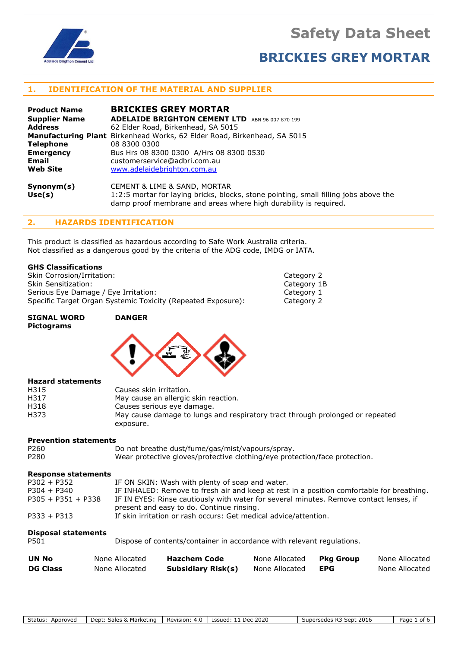**Safety Data Sheet**



# **BRICKIES GREY MORTAR**

# **1. IDENTIFICATION OF THE MATERIAL AND SUPPLIER**

| <b>Product Name</b>  | <b>BRICKIES GREY MORTAR</b>                                                          |  |  |
|----------------------|--------------------------------------------------------------------------------------|--|--|
| <b>Supplier Name</b> | <b>ADELAIDE BRIGHTON CEMENT LTD</b> ABN 96 007 870 199                               |  |  |
| <b>Address</b>       | 62 Elder Road, Birkenhead, SA 5015                                                   |  |  |
|                      | <b>Manufacturing Plant</b> Birkenhead Works, 62 Elder Road, Birkenhead, SA 5015      |  |  |
| <b>Telephone</b>     | 08 8300 0300                                                                         |  |  |
| <b>Emergency</b>     | Bus Hrs 08 8300 0300 A/Hrs 08 8300 0530                                              |  |  |
| Email                | customerservice@adbri.com.au                                                         |  |  |
| <b>Web Site</b>      | www.adelaidebrighton.com.au                                                          |  |  |
| Symonym(s)           | <b>CEMENT &amp; LIME &amp; SAND, MORTAR</b>                                          |  |  |
| Use(s)               | 1:2:5 mortar for laying bricks, blocks, stone pointing, small filling jobs above the |  |  |

# damp proof membrane and areas where high durability is required.

# **2. HAZARDS IDENTIFICATION**

This product is classified as hazardous according to Safe Work Australia criteria. Not classified as a dangerous good by the criteria of the ADG code, IMDG or IATA.

# **GHS Classifications**

Skin Corrosion/Irritation: Skin Sensitization: Serious Eye Damage / Eye Irritation: Specific Target Organ Systemic Toxicity (Repeated Exposure):

| Category 2  |  |
|-------------|--|
| Category 1B |  |
| Category 1  |  |
| Category 2  |  |

#### **SIGNAL WORD DANGER Pictograms**



### **Hazard statements**

| H315 | Causes skin irritation.                                                       |
|------|-------------------------------------------------------------------------------|
| H317 | May cause an allergic skin reaction.                                          |
| H318 | Causes serious eye damage.                                                    |
| H373 | May cause damage to lungs and respiratory tract through prolonged or repeated |
|      | exposure.                                                                     |

# **Prevention statements**

| P <sub>260</sub> | Do not breathe dust/fume/gas/mist/vapours/spray.                           |
|------------------|----------------------------------------------------------------------------|
| P280             | Wear protective gloves/protective clothing/eye protection/face protection. |

## **Response statements**

| $P302 + P352$        | IF ON SKIN: Wash with plenty of soap and water.                                           |
|----------------------|-------------------------------------------------------------------------------------------|
| $P304 + P340$        | IF INHALED: Remove to fresh air and keep at rest in a position comfortable for breathing. |
| $P305 + P351 + P338$ | IF IN EYES: Rinse cautiously with water for several minutes. Remove contact lenses, if    |
|                      | present and easy to do. Continue rinsing.                                                 |
| $P333 + P313$        | If skin irritation or rash occurs: Get medical advice/attention.                          |

# **Disposal statements**

| P501 | Dispose of contents/container in accordance with relevant regulations. |
|------|------------------------------------------------------------------------|
|------|------------------------------------------------------------------------|

| <b>UN No</b>    | None Allocated | Hazchem Code              | None Allocated | Pka Group  | None Allocated |
|-----------------|----------------|---------------------------|----------------|------------|----------------|
| <b>DG Class</b> | None Allocated | <b>Subsidiary Risk(s)</b> | None Allocated | <b>EPG</b> | None Allocated |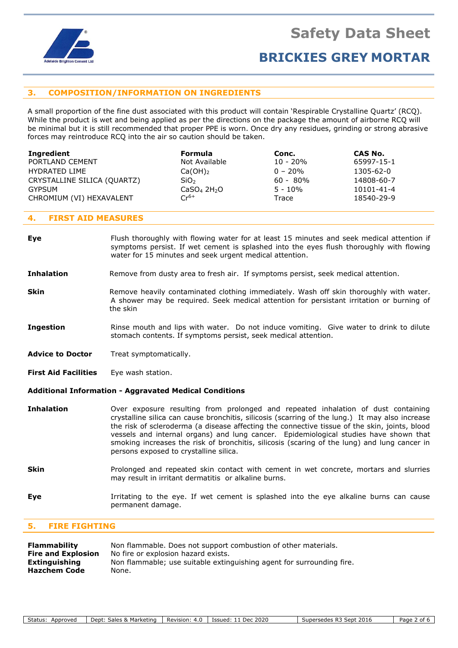

# **BRICKIES GREY MORTAR**

# **3. COMPOSITION/INFORMATION ON INGREDIENTS**

A small proportion of the fine dust associated with this product will contain 'Respirable Crystalline Quartz' (RCQ). While the product is wet and being applied as per the directions on the package the amount of airborne RCQ will be minimal but it is still recommended that proper PPE is worn. Once dry any residues, grinding or strong abrasive forces may reintroduce RCQ into the air so caution should be taken.

| Ingredient                  | <b>Formula</b>                      | Conc.       | CAS No.    |
|-----------------------------|-------------------------------------|-------------|------------|
| PORTLAND CEMENT             | Not Available                       | $10 - 20%$  | 65997-15-1 |
| HYDRATED LIME               | $Ca(OH)_{2}$                        | $0 - 20\%$  | 1305-62-0  |
| CRYSTALLINE SILICA (QUARTZ) | SiO <sub>2</sub>                    | $60 - 80\%$ | 14808-60-7 |
| GYPSUM                      | CaSO <sub>4</sub> 2H <sub>2</sub> O | $5 - 10\%$  | 10101-41-4 |
| CHROMIUM (VI) HEXAVALENT    | $Cr^{6+}$                           | Trace       | 18540-29-9 |

## **4. FIRST AID MEASURES**

**Eye** Flush thoroughly with flowing water for at least 15 minutes and seek medical attention if symptoms persist. If wet cement is splashed into the eyes flush thoroughly with flowing water for 15 minutes and seek urgent medical attention.

## **Inhalation** Remove from dusty area to fresh air. If symptoms persist, seek medical attention.

- **Skin** Remove heavily contaminated clothing immediately. Wash off skin thoroughly with water. A shower may be required. Seek medical attention for persistant irritation or burning of the skin
- **Ingestion** Rinse mouth and lips with water. Do not induce vomiting. Give water to drink to dilute stomach contents. If symptoms persist, seek medical attention.
- **Advice to Doctor** Treat symptomatically.
- **First Aid Facilities** Eye wash station.

## **Additional Information - Aggravated Medical Conditions**

- **Inhalation** Over exposure resulting from prolonged and repeated inhalation of dust containing crystalline silica can cause bronchitis, silicosis (scarring of the lung.) It may also increase the risk of scleroderma (a disease affecting the connective tissue of the skin, joints, blood vessels and internal organs) and lung cancer. Epidemiological studies have shown that smoking increases the risk of bronchitis, silicosis (scaring of the lung) and lung cancer in persons exposed to crystalline silica.
- **Skin** Prolonged and repeated skin contact with cement in wet concrete, mortars and slurries may result in irritant dermatitis or alkaline burns.
- **Eye I**rritating to the eye. If wet cement is splashed into the eye alkaline burns can cause permanent damage.

# **5. FIRE FIGHTING**

| Flammability              | Non flammable. Does not support combustion of other materials.        |
|---------------------------|-----------------------------------------------------------------------|
| <b>Fire and Explosion</b> | No fire or explosion hazard exists.                                   |
| Extinguishing             | Non flammable; use suitable extinguishing agent for surrounding fire. |
| <b>Hazchem Code</b>       | None.                                                                 |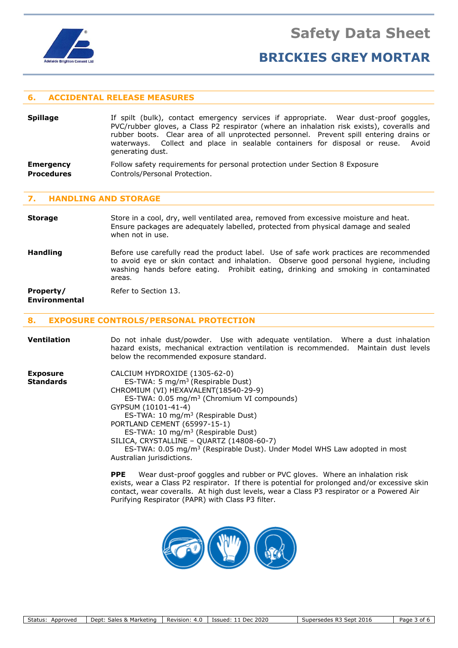

# **BRICKIES GREY MORTAR**

# **6. ACCIDENTAL RELEASE MEASURES**

| <b>Spillage</b>  | If spilt (bulk), contact emergency services if appropriate. Wear dust-proof goggles,<br>PVC/rubber gloves, a Class P2 respirator (where an inhalation risk exists), coveralls and<br>rubber boots. Clear area of all unprotected personnel. Prevent spill entering drains or<br>waterways. Collect and place in sealable containers for disposal or reuse. Avoid<br>generating dust. |
|------------------|--------------------------------------------------------------------------------------------------------------------------------------------------------------------------------------------------------------------------------------------------------------------------------------------------------------------------------------------------------------------------------------|
| <b>Emergency</b> | Follow safety requirements for personal protection under Section 8 Exposure                                                                                                                                                                                                                                                                                                          |

**Procedures Controls/Personal Protection.** 

# **7. HANDLING AND STORAGE**

**Storage** Store in a cool, dry, well ventilated area, removed from excessive moisture and heat. Ensure packages are adequately labelled, protected from physical damage and sealed when not in use.

**Handling** Before use carefully read the product label. Use of safe work practices are recommended to avoid eye or skin contact and inhalation. Observe good personal hygiene, including washing hands before eating. Prohibit eating, drinking and smoking in contaminated areas.

**Property/** Refer to Section 13.

# **Environmental**

# **8. EXPOSURE CONTROLS/PERSONAL PROTECTION**

| <b>Ventilation</b>                  | Do not inhale dust/powder. Use with adequate ventilation. Where a dust inhalation<br>hazard exists, mechanical extraction ventilation is recommended. Maintain dust levels<br>below the recommended exposure standard.                                                                                                                                                                                                                                                                                          |
|-------------------------------------|-----------------------------------------------------------------------------------------------------------------------------------------------------------------------------------------------------------------------------------------------------------------------------------------------------------------------------------------------------------------------------------------------------------------------------------------------------------------------------------------------------------------|
| <b>Exposure</b><br><b>Standards</b> | CALCIUM HYDROXIDE (1305-62-0)<br>ES-TWA: 5 mg/m <sup>3</sup> (Respirable Dust)<br>CHROMIUM (VI) HEXAVALENT (18540-29-9)<br>ES-TWA: 0.05 mg/m <sup>3</sup> (Chromium VI compounds)<br>GYPSUM (10101-41-4)<br>ES-TWA: 10 mg/m <sup>3</sup> (Respirable Dust)<br>PORTLAND CEMENT (65997-15-1)<br>ES-TWA: 10 mg/m <sup>3</sup> (Respirable Dust)<br>SILICA, CRYSTALLINE - QUARTZ (14808-60-7)<br>ES-TWA: 0.05 mg/m <sup>3</sup> (Respirable Dust). Under Model WHS Law adopted in most<br>Australian jurisdictions. |

**PPE** Wear dust-proof goggles and rubber or PVC gloves. Where an inhalation risk exists, wear a Class P2 respirator. If there is potential for prolonged and/or excessive skin contact, wear coveralls. At high dust levels, wear a Class P3 respirator or a Powered Air Purifying Respirator (PAPR) with Class P3 filter.

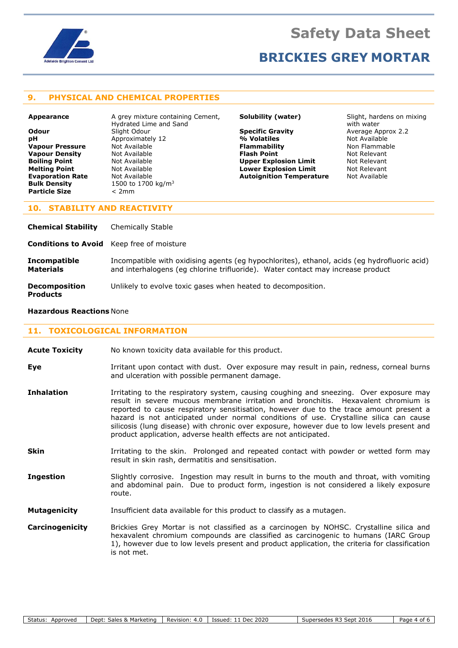

# **BRICKIES GREY MORTAR**

# **9. PHYSICAL AND CHEMICAL PROPERTIES**

**Particle Size** < 2mm

**Appearance** A grey mixture containing Cement, Hydrated Lime and Sand **Odour** Slight Odour **Summan Specific Gravity** Average Approx 2.2<br> **DH** Approximately 12 **Matiles** 9/6 **Volatiles** Mot Available **pH** Approximately 12 4 Approximately 12 **Vapour Pressure** Mot Available **Flammability Flammability** Non Flammable **Vapour Density Not Available <b>Flash Point Relevant** Not Relevant **Boiling Point Not Available <b>Limit Upper Explosion Limit** Mot Relevant **Melting Point Not Available <b>Lower Explosion Limit** Mot Relevant **Evaporation Rate Not Available <b>Autoignition Temperature** Not Available **Bulk Density** 1500 to 1700 kg/m<sup>3</sup>

**Solubility (water)** Slight, hardens on mixing with water

# **10. STABILITY AND REACTIVITY**

| <b>Chemical Stability</b>                        | Chemically Stable                                                                                                                                                               |
|--------------------------------------------------|---------------------------------------------------------------------------------------------------------------------------------------------------------------------------------|
| <b>Conditions to Avoid</b> Keep free of moisture |                                                                                                                                                                                 |
| <b>Incompatible</b><br><b>Materials</b>          | Incompatible with oxidising agents (eg hypochlorites), ethanol, acids (eg hydrofluoric acid)<br>and interhalogens (eg chlorine trifluoride). Water contact may increase product |
| <b>Decomposition</b><br><b>Products</b>          | Unlikely to evolve toxic gases when heated to decomposition.                                                                                                                    |

#### **Hazardous Reactions** None

### **11. TOXICOLOGICAL INFORMATION**

- **Acute Toxicity** No known toxicity data available for this product.
- **Eye I**rritant upon contact with dust. Over exposure may result in pain, redness, corneal burns and ulceration with possible permanent damage.
- **Inhalation** Irritating to the respiratory system, causing coughing and sneezing. Over exposure may result in severe mucous membrane irritation and bronchitis. Hexavalent chromium is reported to cause respiratory sensitisation, however due to the trace amount present a hazard is not anticipated under normal conditions of use. Crystalline silica can cause silicosis (lung disease) with chronic over exposure, however due to low levels present and product application, adverse health effects are not anticipated.
- **Skin** Irritating to the skin. Prolonged and repeated contact with powder or wetted form may result in skin rash, dermatitis and sensitisation.
- **Ingestion** Slightly corrosive. Ingestion may result in burns to the mouth and throat, with vomiting and abdominal pain. Due to product form, ingestion is not considered a likely exposure route.
- **Mutagenicity** Insufficient data available for this product to classify as a mutagen.
- **Carcinogenicity** Brickies Grey Mortar is not classified as a carcinogen by NOHSC. Crystalline silica and hexavalent chromium compounds are classified as carcinogenic to humans (IARC Group 1), however due to low levels present and product application, the criteria for classification is not met.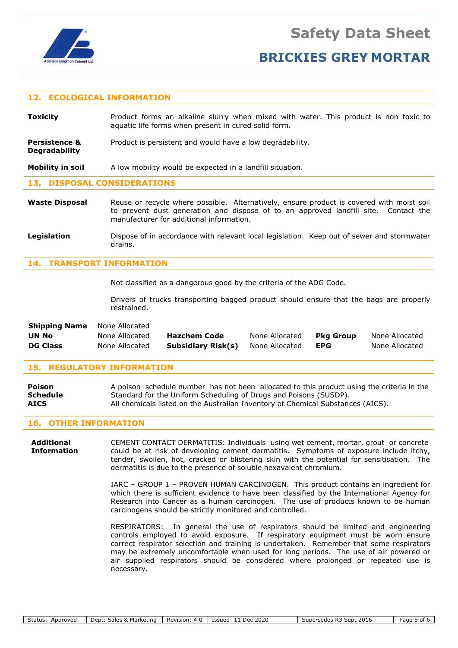

**Degradability**

# **BRICKIES GREY MORTAR**

# **12. ECOLOGICAL INFORMATION**

**Toxicity Product forms an alkaline slurry when mixed with water. This product is non toxic to** aquatic life forms when present in cured solid form.

**Persistence &** Product is persistent and would have a low degradability.

**Mobility in soil** A low mobility would be expected in a landfill situation.

### **13. DISPOSAL CONSIDERATIONS**

- **Waste Disposal** Reuse or recycle where possible. Alternatively, ensure product is covered with moist soil to prevent dust generation and dispose of to an approved landfill site. Contact the manufacturer for additional information.
- **Legislation** Dispose of in accordance with relevant local legislation. Keep out of sewer and stormwater drains.

# **14. TRANSPORT INFORMATION**

Not classified as a dangerous good by the criteria of the ADG Code.

Drivers of trucks transporting bagged product should ensure that the bags are properly restrained.

| <b>Shipping Name</b> | None Allocated |                     |                |           |                |
|----------------------|----------------|---------------------|----------------|-----------|----------------|
| UN No                | None Allocated | <b>Hazchem Code</b> | None Allocated | Pka Group | None Allocated |
| <b>DG Class</b>      | None Allocated | Subsidiary Risk(s)  | None Allocated | EPG       | None Allocated |

## **15. REGULATORY INFORMATION**

| Poison          | A poison schedule number has not been allocated to this product using the criteria in the |  |  |
|-----------------|-------------------------------------------------------------------------------------------|--|--|
| <b>Schedule</b> | Standard for the Uniform Scheduling of Drugs and Poisons (SUSDP).                         |  |  |
| <b>AICS</b>     | All chemicals listed on the Australian Inventory of Chemical Substances (AICS).           |  |  |

### **16. OTHER INFORMATION**

**Additional** CEMENT CONTACT DERMATITIS: Individuals using wet cement, mortar, grout or concrete **Information** could be at risk of developing cement dermatitis. Symptoms of exposure include itchy, tender, swollen, hot, cracked or blistering skin with the potential for sensitisation. The dermatitis is due to the presence of soluble hexavalent chromium.

> IARC – GROUP 1 – PROVEN HUMAN CARCINOGEN. This product contains an ingredient for which there is sufficient evidence to have been classified by the International Agency for Research into Cancer as a human carcinogen. The use of products known to be human carcinogens should be strictly monitored and controlled.

> RESPIRATORS: In general the use of respirators should be limited and engineering controls employed to avoid exposure. If respiratory equipment must be worn ensure correct respirator selection and training is undertaken. Remember that some respirators may be extremely uncomfortable when used for long periods. The use of air powered or air supplied respirators should be considered where prolonged or repeated use is necessary.